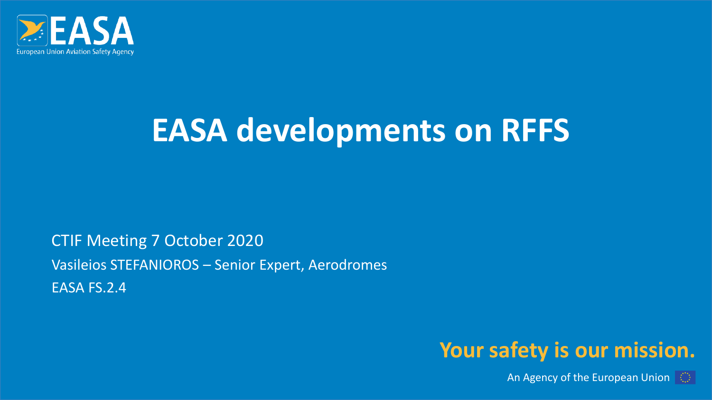

## **EASA developments on RFFS**

CTIF Meeting 7 October 2020 Vasileios STEFANIOROS – Senior Expert, Aerodromes EASA FS.2.4

#### **Your safety is our mission.**

An Agency of the European Union  $\|\odot\|$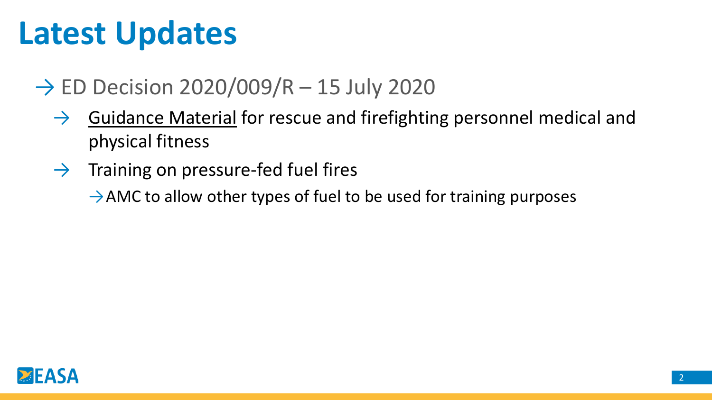### **Latest Updates**

### $\rightarrow$  ED Decision 2020/009/R – 15 July 2020

- $\rightarrow$  Guidance Material for rescue and firefighting personnel medical and physical fitness
- $\rightarrow$  Training on pressure-fed fuel fires
	- $\rightarrow$  AMC to allow other types of fuel to be used for training purposes

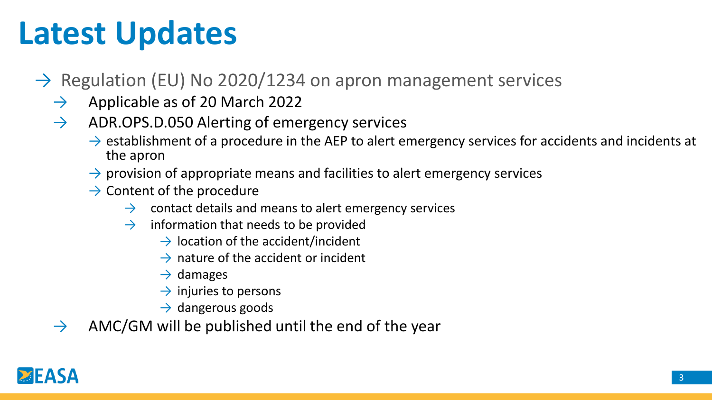## **Latest Updates**

- $\rightarrow$  Regulation (EU) No 2020/1234 on apron management services
	- $\rightarrow$  Applicable as of 20 March 2022
	- $\rightarrow$  ADR.OPS.D.050 Alerting of emergency services
		- $\rightarrow$  establishment of a procedure in the AEP to alert emergency services for accidents and incidents at the apron
		- $\rightarrow$  provision of appropriate means and facilities to alert emergency services
		- $\rightarrow$  Content of the procedure
			- $\rightarrow$  contact details and means to alert emergency services
			- $\rightarrow$  information that needs to be provided
				- $\rightarrow$  location of the accident/incident
				- $\rightarrow$  nature of the accident or incident
				- $\rightarrow$  damages
				- $\rightarrow$  injuries to persons
				- $\rightarrow$  dangerous goods
	- $\rightarrow$  AMC/GM will be published until the end of the year

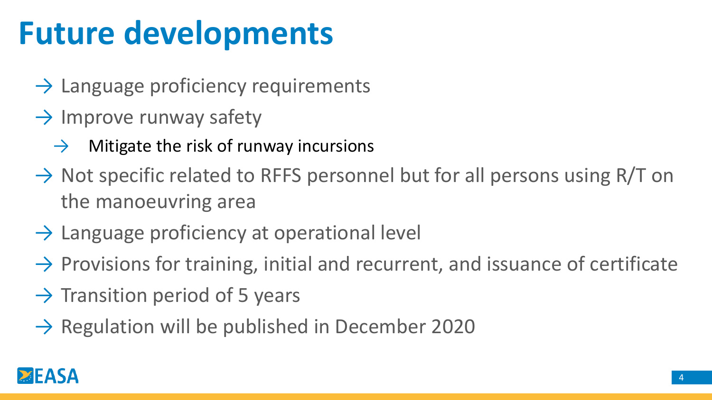## **Future developments**

- $\rightarrow$  Language proficiency requirements
- $\rightarrow$  Improve runway safety
	- $\rightarrow$  Mitigate the risk of runway incursions
- $\rightarrow$  Not specific related to RFFS personnel but for all persons using R/T on the manoeuvring area
- $\rightarrow$  Language proficiency at operational level
- $\rightarrow$  Provisions for training, initial and recurrent, and issuance of certificate
- $\rightarrow$  Transition period of 5 years
- $\rightarrow$  Regulation will be published in December 2020